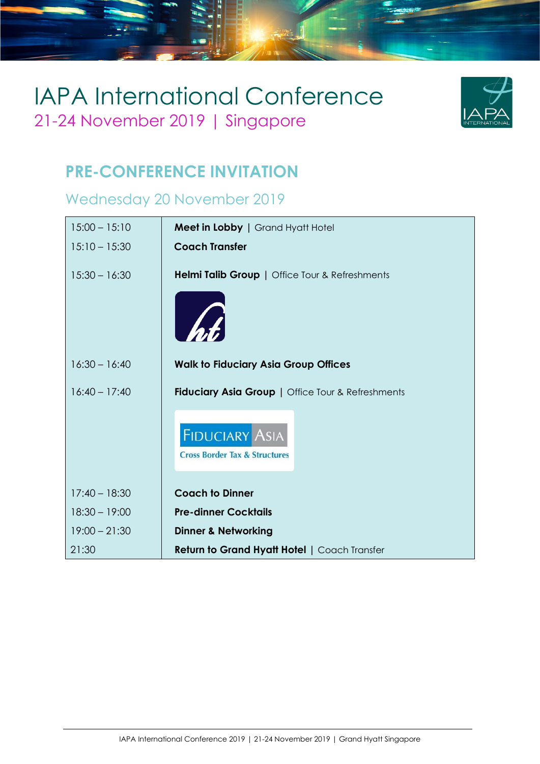

### **PRE-CONFERENCE INVITATION**

### Wednesday 20 November 2019

| $15:00 - 15:10$ | Meet in Lobby   Grand Hyatt Hotel                                 |
|-----------------|-------------------------------------------------------------------|
| $15:10 - 15:30$ | <b>Coach Transfer</b>                                             |
| $15:30 - 16:30$ | Helmi Talib Group   Office Tour & Refreshments                    |
|                 |                                                                   |
| $16:30 - 16:40$ | <b>Walk to Fiduciary Asia Group Offices</b>                       |
| $16:40 - 17:40$ | <b>Fiduciary Asia Group   Office Tour &amp; Refreshments</b>      |
|                 | <b>FIDUCIARY ASIA</b><br><b>Cross Border Tax &amp; Structures</b> |
| $17:40 - 18:30$ | <b>Coach to Dinner</b>                                            |
|                 | <b>Pre-dinner Cocktails</b>                                       |
| $18:30 - 19:00$ |                                                                   |
| $19:00 - 21:30$ | <b>Dinner &amp; Networking</b>                                    |
| 21:30           | <b>Return to Grand Hyatt Hotel   Coach Transfer</b>               |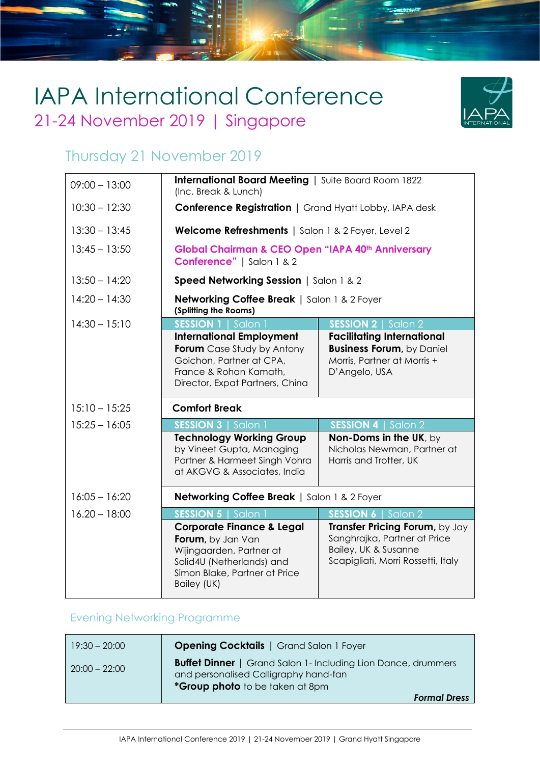

#### Thursday 21 November 2019

| $09:00 - 13:00$ | International Board Meeting   Suite Board Room 1822<br>(Inc. Break & Lunch)                                                                                   |                                                                                                                       |
|-----------------|---------------------------------------------------------------------------------------------------------------------------------------------------------------|-----------------------------------------------------------------------------------------------------------------------|
| $10:30 - 12:30$ | <b>Conference Registration   Grand Hyatt Lobby, IAPA desk</b>                                                                                                 |                                                                                                                       |
| $13:30 - 13:45$ | Welcome Refreshments   Salon 1 & 2 Foyer, Level 2                                                                                                             |                                                                                                                       |
| $13:45 - 13:50$ | Global Chairman & CEO Open "IAPA 40th Anniversary<br>Conference"   Salon 1 & 2                                                                                |                                                                                                                       |
| $13:50 - 14:20$ | Speed Networking Session   Salon 1 & 2                                                                                                                        |                                                                                                                       |
| $14:20 - 14:30$ | <b>Networking Coffee Break   Salon 1 &amp; 2 Foyer</b><br>(Splitting the Rooms)                                                                               |                                                                                                                       |
| $14:30 - 15:10$ | <b>SESSION 1</b>   Salon 1                                                                                                                                    | <b>SESSION 2</b>   Salon 2                                                                                            |
|                 | <b>International Employment</b><br><b>Forum</b> Case Study by Antony<br>Goichon, Partner at CPA,<br>France & Rohan Kamath,<br>Director, Expat Partners, China | <b>Facilitating International</b><br><b>Business Forum, by Daniel</b><br>Morris, Partner at Morris +<br>D'Angelo, USA |
| $15:10 - 15:25$ | <b>Comfort Break</b>                                                                                                                                          |                                                                                                                       |
| $15:25 - 16:05$ | <b>SESSION 3   Salon 1</b>                                                                                                                                    | <b>SESSION 4</b>   Salon 2                                                                                            |
|                 | <b>Technology Working Group</b><br>by Vineet Gupta, Managing<br>Partner & Harmeet Singh Vohra<br>at AKGVG & Associates, India                                 | Non-Doms in the UK, by<br>Nicholas Newman, Partner at<br>Harris and Trotter, UK                                       |
| $16:05 - 16:20$ | Networking Coffee Break   Salon 1 & 2 Foyer                                                                                                                   |                                                                                                                       |
| $16.20 - 18:00$ | <b>SESSION 5   Salon</b>                                                                                                                                      | <b>SESSION 6   Salon 2</b>                                                                                            |
|                 |                                                                                                                                                               |                                                                                                                       |

#### Evening Networking Programme

| $19:30 - 20:00$ | <b>Opening Cocktails</b>   Grand Salon 1 Foyer                                                                                                   |
|-----------------|--------------------------------------------------------------------------------------------------------------------------------------------------|
| $20:00 - 22:00$ | <b>Buffet Dinner</b>   Grand Salon 1- Including Lion Dance, drummers<br>and personalised Calligraphy hand-fan<br>*Group photo to be taken at 8pm |
|                 | <b>Formal Dress</b>                                                                                                                              |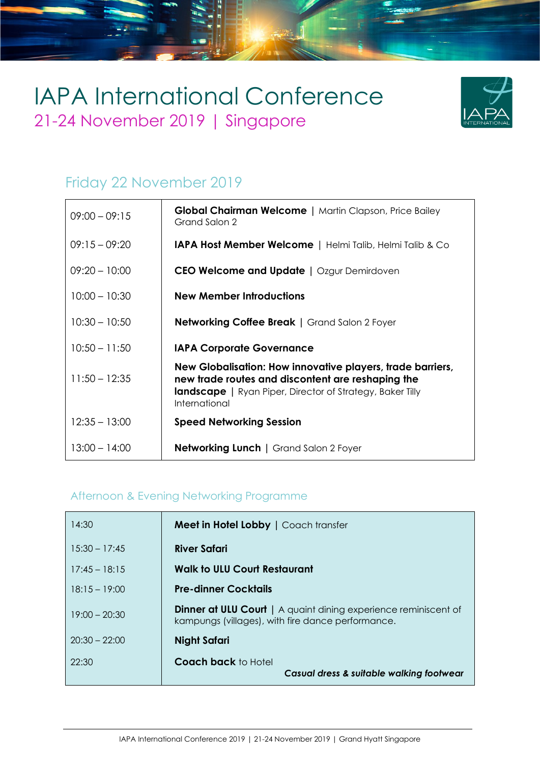

### Friday 22 November 2019

| $09:00 - 09:15$ | <b>Global Chairman Welcome</b>   Martin Clapson, Price Bailey<br>Grand Salon 2                                                                                                                       |
|-----------------|------------------------------------------------------------------------------------------------------------------------------------------------------------------------------------------------------|
| $09:15 - 09:20$ | <b>IAPA Host Member Welcome</b>   Helmi Talib, Helmi Talib & Co                                                                                                                                      |
| $09:20 - 10:00$ | <b>CEO Welcome and Update</b>   Ozgur Demirdoven                                                                                                                                                     |
| $10:00 - 10:30$ | New Member Introductions                                                                                                                                                                             |
| $10:30 - 10:50$ | <b>Networking Coffee Break</b>   Grand Salon 2 Foyer                                                                                                                                                 |
| $10:50 - 11:50$ | <b>IAPA Corporate Governance</b>                                                                                                                                                                     |
| $11:50 - 12:35$ | New Globalisation: How innovative players, trade barriers,<br>new trade routes and discontent are reshaping the<br><b>landscape</b>   Ryan Piper, Director of Strategy, Baker Tilly<br>International |
| $12:35 - 13:00$ | <b>Speed Networking Session</b>                                                                                                                                                                      |
| $13:00 - 14:00$ | <b>Networking Lunch   Grand Salon 2 Foyer</b>                                                                                                                                                        |

#### Afternoon & Evening Networking Programme

| 14:30           | Meet in Hotel Lobby   Coach transfer                                                                                        |
|-----------------|-----------------------------------------------------------------------------------------------------------------------------|
| $15:30 - 17:45$ | <b>River Safari</b>                                                                                                         |
| $17:45 - 18:15$ | <b>Walk to ULU Court Restaurant</b>                                                                                         |
| $18:15 - 19:00$ | <b>Pre-dinner Cocktails</b>                                                                                                 |
| $19:00 - 20:30$ | <b>Dinner at ULU Court</b>   A quaint dining experience reminiscent of<br>kampungs (villages), with fire dance performance. |
| $20:30 - 22:00$ | Night Safari                                                                                                                |
| 22:30           | <b>Coach back</b> to Hotel<br>Casual dress & suitable walking footwear                                                      |